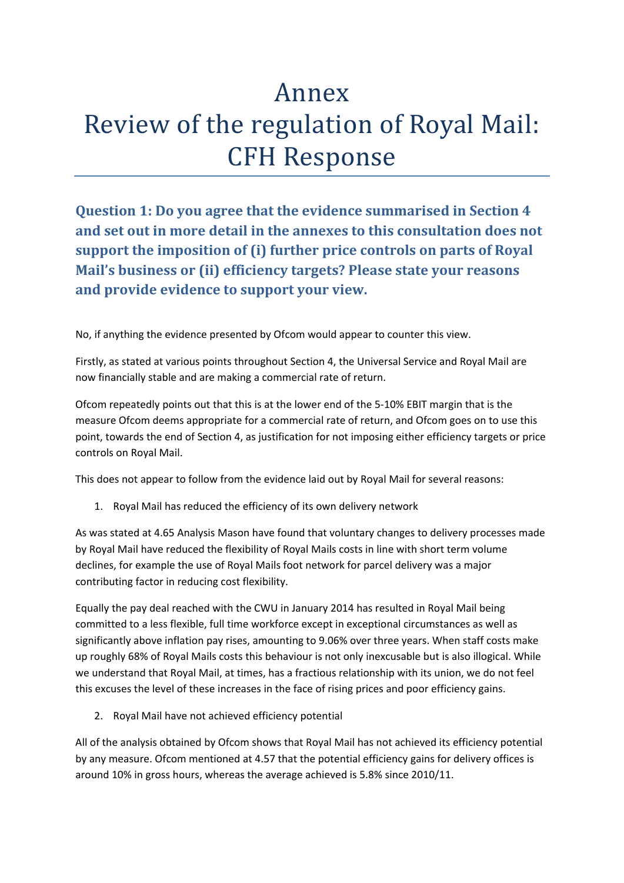# Annex Review of the regulation of Royal Mail: **CFH Response**

**Question 1: Do you agree that the evidence summarised in Section 4 and set out in more detail in the annexes to this consultation does not support the imposition of (i) further price controls on parts of Royal Mail's business or (ii) efficiency targets? Please state your reasons and provide evidence to support your view.**

No, if anything the evidence presented by Ofcom would appear to counter this view.

Firstly, as stated at various points throughout Section 4, the Universal Service and Royal Mail are now financially stable and are making a commercial rate of return.

Ofcom repeatedly points out that this is at the lower end of the 5‐10% EBIT margin that is the measure Ofcom deems appropriate for a commercial rate of return, and Ofcom goes on to use this point, towards the end of Section 4, as justification for not imposing either efficiency targets or price controls on Royal Mail.

This does not appear to follow from the evidence laid out by Royal Mail for several reasons:

1. Royal Mail has reduced the efficiency of its own delivery network

As was stated at 4.65 Analysis Mason have found that voluntary changes to delivery processes made by Royal Mail have reduced the flexibility of Royal Mails costs in line with short term volume declines, for example the use of Royal Mails foot network for parcel delivery was a major contributing factor in reducing cost flexibility.

Equally the pay deal reached with the CWU in January 2014 has resulted in Royal Mail being committed to a less flexible, full time workforce except in exceptional circumstances as well as significantly above inflation pay rises, amounting to 9.06% over three years. When staff costs make up roughly 68% of Royal Mails costs this behaviour is not only inexcusable but is also illogical. While we understand that Royal Mail, at times, has a fractious relationship with its union, we do not feel this excuses the level of these increases in the face of rising prices and poor efficiency gains.

2. Royal Mail have not achieved efficiency potential

All of the analysis obtained by Ofcom shows that Royal Mail has not achieved its efficiency potential by any measure. Ofcom mentioned at 4.57 that the potential efficiency gains for delivery offices is around 10% in gross hours, whereas the average achieved is 5.8% since 2010/11.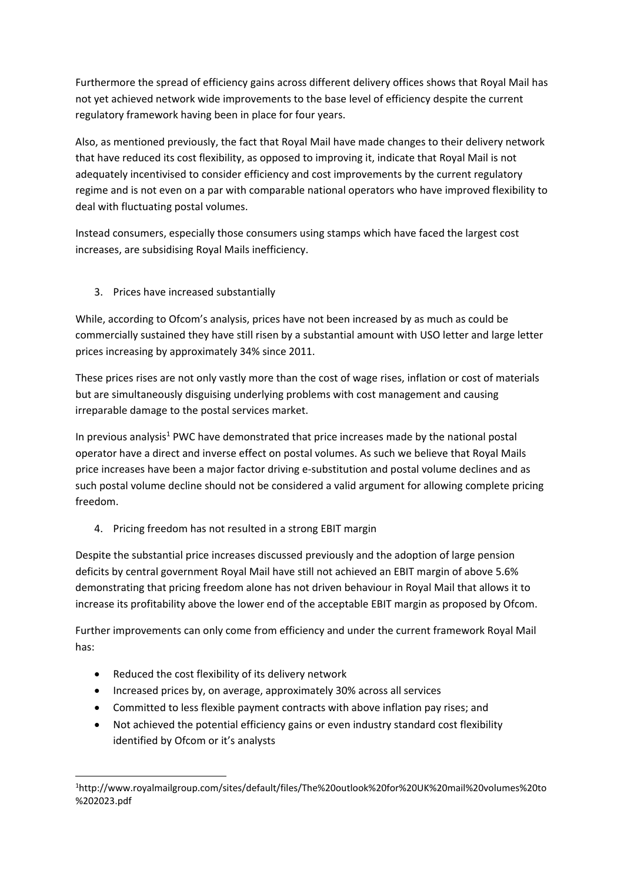Furthermore the spread of efficiency gains across different delivery offices shows that Royal Mail has not yet achieved network wide improvements to the base level of efficiency despite the current regulatory framework having been in place for four years.

Also, as mentioned previously, the fact that Royal Mail have made changes to their delivery network that have reduced its cost flexibility, as opposed to improving it, indicate that Royal Mail is not adequately incentivised to consider efficiency and cost improvements by the current regulatory regime and is not even on a par with comparable national operators who have improved flexibility to deal with fluctuating postal volumes.

Instead consumers, especially those consumers using stamps which have faced the largest cost increases, are subsidising Royal Mails inefficiency.

#### 3. Prices have increased substantially

While, according to Ofcom's analysis, prices have not been increased by as much as could be commercially sustained they have still risen by a substantial amount with USO letter and large letter prices increasing by approximately 34% since 2011.

These prices rises are not only vastly more than the cost of wage rises, inflation or cost of materials but are simultaneously disguising underlying problems with cost management and causing irreparable damage to the postal services market.

In previous analysis<sup>1</sup> PWC have demonstrated that price increases made by the national postal operator have a direct and inverse effect on postal volumes. As such we believe that Royal Mails price increases have been a major factor driving e‐substitution and postal volume declines and as such postal volume decline should not be considered a valid argument for allowing complete pricing freedom.

4. Pricing freedom has not resulted in a strong EBIT margin

Despite the substantial price increases discussed previously and the adoption of large pension deficits by central government Royal Mail have still not achieved an EBIT margin of above 5.6% demonstrating that pricing freedom alone has not driven behaviour in Royal Mail that allows it to increase its profitability above the lower end of the acceptable EBIT margin as proposed by Ofcom.

Further improvements can only come from efficiency and under the current framework Royal Mail has:

Reduced the cost flexibility of its delivery network

- Increased prices by, on average, approximately 30% across all services
- Committed to less flexible payment contracts with above inflation pay rises; and
- Not achieved the potential efficiency gains or even industry standard cost flexibility identified by Ofcom or it's analysts

<sup>1</sup> http://www.royalmailgroup.com/sites/default/files/The%20outlook%20for%20UK%20mail%20volumes%20to %202023.pdf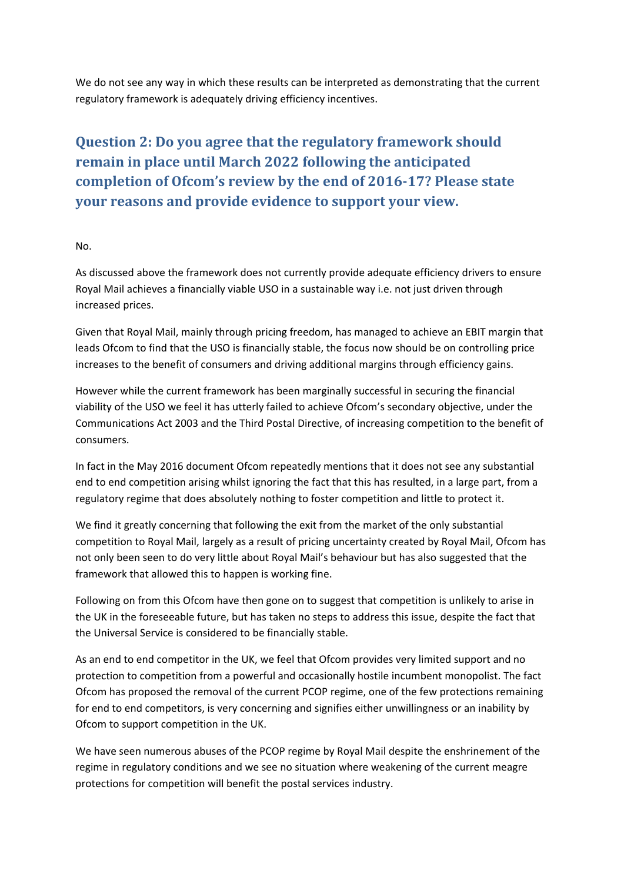We do not see any way in which these results can be interpreted as demonstrating that the current regulatory framework is adequately driving efficiency incentives.

# **Question 2: Do you agree that the regulatory framework should remain in place until March 2022 following the anticipated completion of Ofcom's review by the end of 2016‐17? Please state your reasons and provide evidence to support your view.**

#### No.

As discussed above the framework does not currently provide adequate efficiency drivers to ensure Royal Mail achieves a financially viable USO in a sustainable way i.e. not just driven through increased prices.

Given that Royal Mail, mainly through pricing freedom, has managed to achieve an EBIT margin that leads Ofcom to find that the USO is financially stable, the focus now should be on controlling price increases to the benefit of consumers and driving additional margins through efficiency gains.

However while the current framework has been marginally successful in securing the financial viability of the USO we feel it has utterly failed to achieve Ofcom's secondary objective, under the Communications Act 2003 and the Third Postal Directive, of increasing competition to the benefit of consumers.

In fact in the May 2016 document Ofcom repeatedly mentions that it does not see any substantial end to end competition arising whilst ignoring the fact that this has resulted, in a large part, from a regulatory regime that does absolutely nothing to foster competition and little to protect it.

We find it greatly concerning that following the exit from the market of the only substantial competition to Royal Mail, largely as a result of pricing uncertainty created by Royal Mail, Ofcom has not only been seen to do very little about Royal Mail's behaviour but has also suggested that the framework that allowed this to happen is working fine.

Following on from this Ofcom have then gone on to suggest that competition is unlikely to arise in the UK in the foreseeable future, but has taken no steps to address this issue, despite the fact that the Universal Service is considered to be financially stable.

As an end to end competitor in the UK, we feel that Ofcom provides very limited support and no protection to competition from a powerful and occasionally hostile incumbent monopolist. The fact Ofcom has proposed the removal of the current PCOP regime, one of the few protections remaining for end to end competitors, is very concerning and signifies either unwillingness or an inability by Ofcom to support competition in the UK.

We have seen numerous abuses of the PCOP regime by Royal Mail despite the enshrinement of the regime in regulatory conditions and we see no situation where weakening of the current meagre protections for competition will benefit the postal services industry.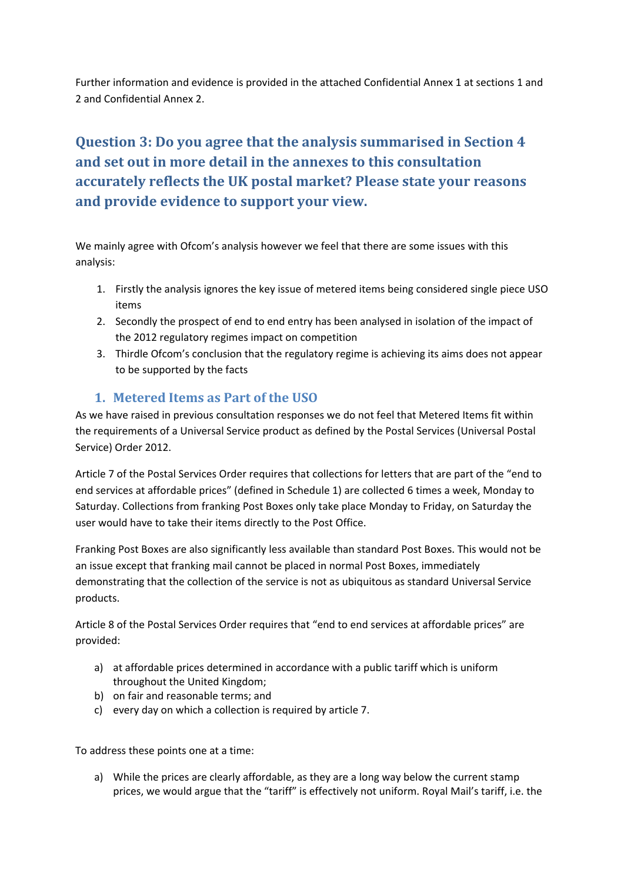Further information and evidence is provided in the attached Confidential Annex 1 at sections 1 and 2 and Confidential Annex 2.

# **Question 3: Do you agree that the analysis summarised in Section 4 and set out in more detail in the annexes to this consultation accurately reflects the UK postal market? Please state your reasons and provide evidence to support your view.**

We mainly agree with Ofcom's analysis however we feel that there are some issues with this analysis:

- 1. Firstly the analysis ignores the key issue of metered items being considered single piece USO items
- 2. Secondly the prospect of end to end entry has been analysed in isolation of the impact of the 2012 regulatory regimes impact on competition
- 3. Thirdle Ofcom's conclusion that the regulatory regime is achieving its aims does not appear to be supported by the facts

#### **1. Metered Items as Part of the USO**

As we have raised in previous consultation responses we do not feel that Metered Items fit within the requirements of a Universal Service product as defined by the Postal Services (Universal Postal Service) Order 2012.

Article 7 of the Postal Services Order requires that collections for letters that are part of the "end to end services at affordable prices" (defined in Schedule 1) are collected 6 times a week, Monday to Saturday. Collections from franking Post Boxes only take place Monday to Friday, on Saturday the user would have to take their items directly to the Post Office.

Franking Post Boxes are also significantly less available than standard Post Boxes. This would not be an issue except that franking mail cannot be placed in normal Post Boxes, immediately demonstrating that the collection of the service is not as ubiquitous as standard Universal Service products.

Article 8 of the Postal Services Order requires that "end to end services at affordable prices" are provided:

- a) at affordable prices determined in accordance with a public tariff which is uniform throughout the United Kingdom;
- b) on fair and reasonable terms; and
- c) every day on which a collection is required by article 7.

To address these points one at a time:

a) While the prices are clearly affordable, as they are a long way below the current stamp prices, we would argue that the "tariff" is effectively not uniform. Royal Mail's tariff, i.e. the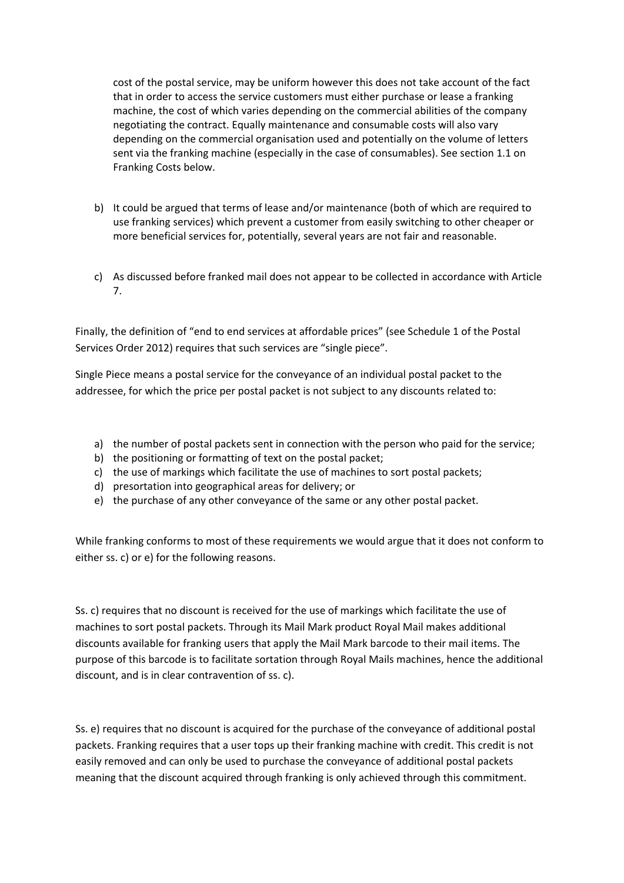cost of the postal service, may be uniform however this does not take account of the fact that in order to access the service customers must either purchase or lease a franking machine, the cost of which varies depending on the commercial abilities of the company negotiating the contract. Equally maintenance and consumable costs will also vary depending on the commercial organisation used and potentially on the volume of letters sent via the franking machine (especially in the case of consumables). See section 1.1 on Franking Costs below.

- b) It could be argued that terms of lease and/or maintenance (both of which are required to use franking services) which prevent a customer from easily switching to other cheaper or more beneficial services for, potentially, several years are not fair and reasonable.
- c) As discussed before franked mail does not appear to be collected in accordance with Article 7.

Finally, the definition of "end to end services at affordable prices" (see Schedule 1 of the Postal Services Order 2012) requires that such services are "single piece".

Single Piece means a postal service for the conveyance of an individual postal packet to the addressee, for which the price per postal packet is not subject to any discounts related to:

- a) the number of postal packets sent in connection with the person who paid for the service;
- b) the positioning or formatting of text on the postal packet;
- c) the use of markings which facilitate the use of machines to sort postal packets;
- d) presortation into geographical areas for delivery; or
- e) the purchase of any other conveyance of the same or any other postal packet.

While franking conforms to most of these requirements we would argue that it does not conform to either ss. c) or e) for the following reasons.

Ss. c) requires that no discount is received for the use of markings which facilitate the use of machines to sort postal packets. Through its Mail Mark product Royal Mail makes additional discounts available for franking users that apply the Mail Mark barcode to their mail items. The purpose of this barcode is to facilitate sortation through Royal Mails machines, hence the additional discount, and is in clear contravention of ss. c).

Ss. e) requires that no discount is acquired for the purchase of the conveyance of additional postal packets. Franking requires that a user tops up their franking machine with credit. This credit is not easily removed and can only be used to purchase the conveyance of additional postal packets meaning that the discount acquired through franking is only achieved through this commitment.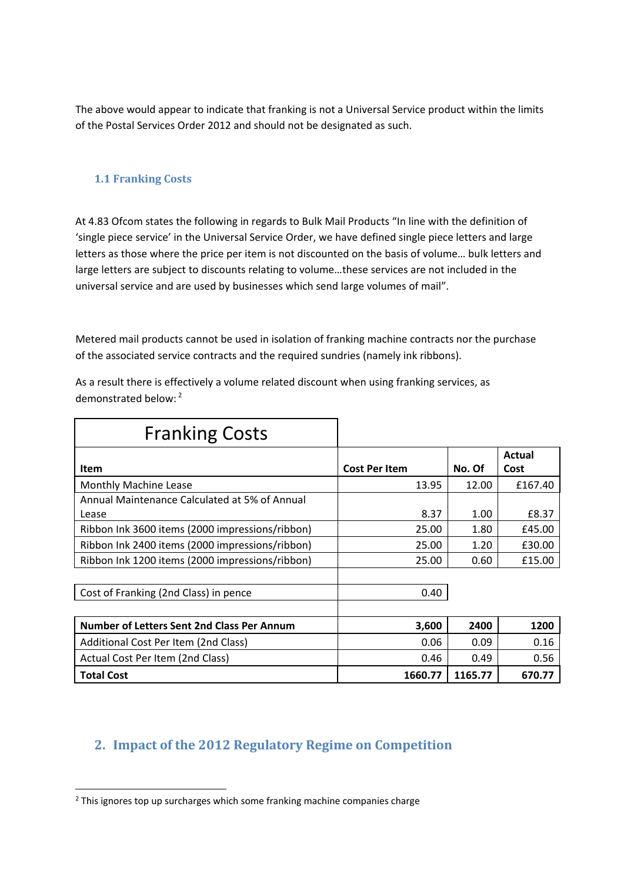The above would appear to indicate that franking is not a Universal Service product within the limits of the Postal Services Order 2012 and should not be designated as such.

#### **1.1 Franking Costs**

At 4.83 Ofcom states the following in regards to Bulk Mail Products "In line with the definition of 'single piece service' in the Universal Service Order, we have defined single piece letters and large letters as those where the price per item is not discounted on the basis of volume… bulk letters and large letters are subject to discounts relating to volume…these services are not included in the universal service and are used by businesses which send large volumes of mail".

Metered mail products cannot be used in isolation of franking machine contracts nor the purchase of the associated service contracts and the required sundries (namely ink ribbons).

As a result there is effectively a volume related discount when using franking services, as demonstrated below: <sup>2</sup>

| <b>Franking Costs</b>                           |                      |         |                |
|-------------------------------------------------|----------------------|---------|----------------|
| <b>Item</b>                                     | <b>Cost Per Item</b> | No. Of  | Actual<br>Cost |
| Monthly Machine Lease                           | 13.95                | 12.00   | £167.40        |
| Annual Maintenance Calculated at 5% of Annual   |                      |         |                |
| Lease                                           | 8.37                 | 1.00    | £8.37          |
| Ribbon Ink 3600 items (2000 impressions/ribbon) | 25.00                | 1.80    | £45.00         |
| Ribbon Ink 2400 items (2000 impressions/ribbon) | 25.00                | 1.20    | £30.00         |
| Ribbon Ink 1200 items (2000 impressions/ribbon) | 25.00                | 0.60    | £15.00         |
| Cost of Franking (2nd Class) in pence           | 0.40                 |         |                |
|                                                 |                      |         |                |
| Number of Letters Sent 2nd Class Per Annum      | 3,600                | 2400    | 1200           |
| Additional Cost Per Item (2nd Class)            | 0.06                 | 0.09    | 0.16           |
| Actual Cost Per Item (2nd Class)                | 0.46                 | 0.49    | 0.56           |
| <b>Total Cost</b>                               | 1660.77              | 1165.77 | 670.77         |

## **2. Impact of the 2012 Regulatory Regime on Competition**

<sup>&</sup>lt;sup>2</sup> This ignores top up surcharges which some franking machine companies charge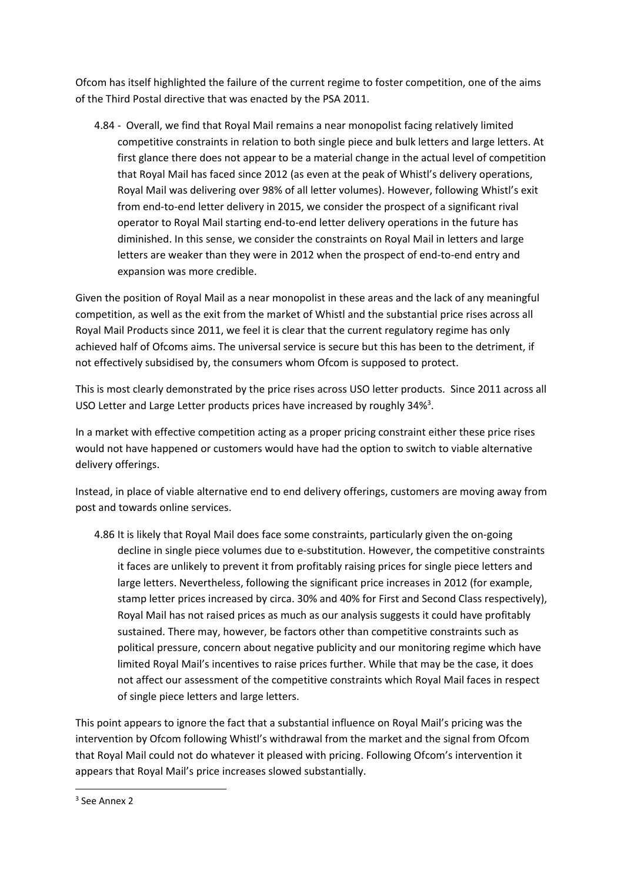Ofcom has itself highlighted the failure of the current regime to foster competition, one of the aims of the Third Postal directive that was enacted by the PSA 2011.

4.84 ‐ Overall, we find that Royal Mail remains a near monopolist facing relatively limited competitive constraints in relation to both single piece and bulk letters and large letters. At first glance there does not appear to be a material change in the actual level of competition that Royal Mail has faced since 2012 (as even at the peak of Whistl's delivery operations, Royal Mail was delivering over 98% of all letter volumes). However, following Whistl's exit from end-to-end letter delivery in 2015, we consider the prospect of a significant rival operator to Royal Mail starting end‐to‐end letter delivery operations in the future has diminished. In this sense, we consider the constraints on Royal Mail in letters and large letters are weaker than they were in 2012 when the prospect of end-to-end entry and expansion was more credible.

Given the position of Royal Mail as a near monopolist in these areas and the lack of any meaningful competition, as well as the exit from the market of Whistl and the substantial price rises across all Royal Mail Products since 2011, we feel it is clear that the current regulatory regime has only achieved half of Ofcoms aims. The universal service is secure but this has been to the detriment, if not effectively subsidised by, the consumers whom Ofcom is supposed to protect.

This is most clearly demonstrated by the price rises across USO letter products. Since 2011 across all USO Letter and Large Letter products prices have increased by roughly 34%<sup>3</sup>.

In a market with effective competition acting as a proper pricing constraint either these price rises would not have happened or customers would have had the option to switch to viable alternative delivery offerings.

Instead, in place of viable alternative end to end delivery offerings, customers are moving away from post and towards online services.

4.86 It is likely that Royal Mail does face some constraints, particularly given the on-going decline in single piece volumes due to e-substitution. However, the competitive constraints it faces are unlikely to prevent it from profitably raising prices for single piece letters and large letters. Nevertheless, following the significant price increases in 2012 (for example, stamp letter prices increased by circa. 30% and 40% for First and Second Class respectively), Royal Mail has not raised prices as much as our analysis suggests it could have profitably sustained. There may, however, be factors other than competitive constraints such as political pressure, concern about negative publicity and our monitoring regime which have limited Royal Mail's incentives to raise prices further. While that may be the case, it does not affect our assessment of the competitive constraints which Royal Mail faces in respect of single piece letters and large letters.

This point appears to ignore the fact that a substantial influence on Royal Mail's pricing was the intervention by Ofcom following Whistl's withdrawal from the market and the signal from Ofcom that Royal Mail could not do whatever it pleased with pricing. Following Ofcom's intervention it appears that Royal Mail's price increases slowed substantially.

 <sup>3</sup> See Annex 2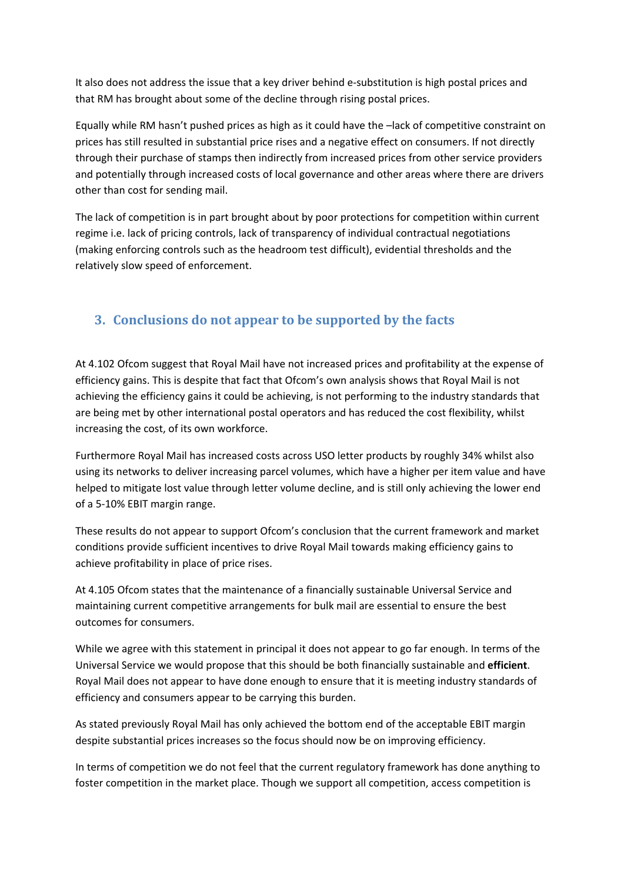It also does not address the issue that a key driver behind e‐substitution is high postal prices and that RM has brought about some of the decline through rising postal prices.

Equally while RM hasn't pushed prices as high as it could have the –lack of competitive constraint on prices has still resulted in substantial price rises and a negative effect on consumers. If not directly through their purchase of stamps then indirectly from increased prices from other service providers and potentially through increased costs of local governance and other areas where there are drivers other than cost for sending mail.

The lack of competition is in part brought about by poor protections for competition within current regime i.e. lack of pricing controls, lack of transparency of individual contractual negotiations (making enforcing controls such as the headroom test difficult), evidential thresholds and the relatively slow speed of enforcement.

## **3. Conclusions do not appear to be supported by the facts**

At 4.102 Ofcom suggest that Royal Mail have not increased prices and profitability at the expense of efficiency gains. This is despite that fact that Ofcom's own analysis shows that Royal Mail is not achieving the efficiency gains it could be achieving, is not performing to the industry standards that are being met by other international postal operators and has reduced the cost flexibility, whilst increasing the cost, of its own workforce.

Furthermore Royal Mail has increased costs across USO letter products by roughly 34% whilst also using its networks to deliver increasing parcel volumes, which have a higher per item value and have helped to mitigate lost value through letter volume decline, and is still only achieving the lower end of a 5‐10% EBIT margin range.

These results do not appear to support Ofcom's conclusion that the current framework and market conditions provide sufficient incentives to drive Royal Mail towards making efficiency gains to achieve profitability in place of price rises.

At 4.105 Ofcom states that the maintenance of a financially sustainable Universal Service and maintaining current competitive arrangements for bulk mail are essential to ensure the best outcomes for consumers.

While we agree with this statement in principal it does not appear to go far enough. In terms of the Universal Service we would propose that this should be both financially sustainable and **efficient**. Royal Mail does not appear to have done enough to ensure that it is meeting industry standards of efficiency and consumers appear to be carrying this burden.

As stated previously Royal Mail has only achieved the bottom end of the acceptable EBIT margin despite substantial prices increases so the focus should now be on improving efficiency.

In terms of competition we do not feel that the current regulatory framework has done anything to foster competition in the market place. Though we support all competition, access competition is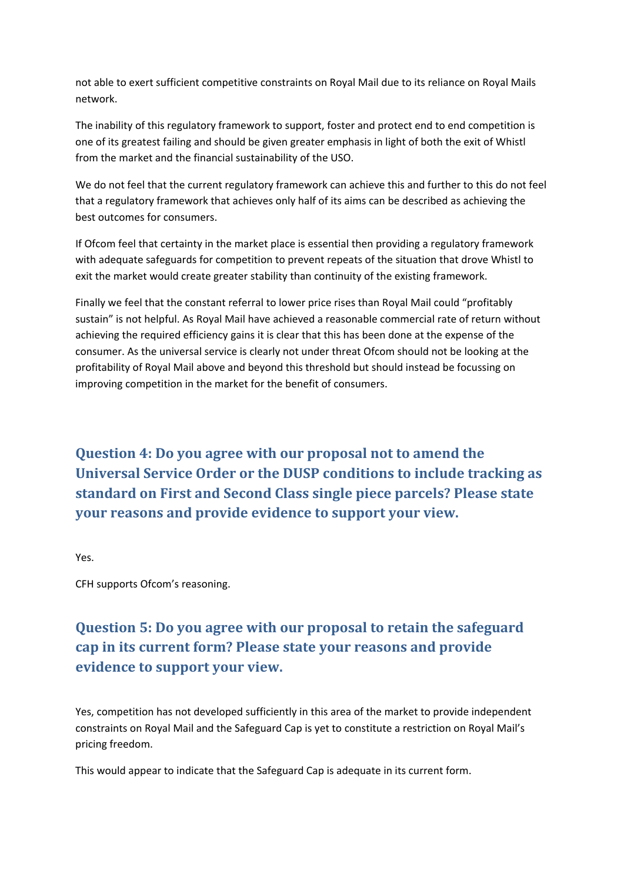not able to exert sufficient competitive constraints on Royal Mail due to its reliance on Royal Mails network.

The inability of this regulatory framework to support, foster and protect end to end competition is one of its greatest failing and should be given greater emphasis in light of both the exit of Whistl from the market and the financial sustainability of the USO.

We do not feel that the current regulatory framework can achieve this and further to this do not feel that a regulatory framework that achieves only half of its aims can be described as achieving the best outcomes for consumers.

If Ofcom feel that certainty in the market place is essential then providing a regulatory framework with adequate safeguards for competition to prevent repeats of the situation that drove Whistl to exit the market would create greater stability than continuity of the existing framework.

Finally we feel that the constant referral to lower price rises than Royal Mail could "profitably sustain" is not helpful. As Royal Mail have achieved a reasonable commercial rate of return without achieving the required efficiency gains it is clear that this has been done at the expense of the consumer. As the universal service is clearly not under threat Ofcom should not be looking at the profitability of Royal Mail above and beyond this threshold but should instead be focussing on improving competition in the market for the benefit of consumers.

**Question 4: Do you agree with our proposal not to amend the Universal Service Order or the DUSP conditions to include tracking as standard on First and Second Class single piece parcels? Please state your reasons and provide evidence to support your view.**

Yes.

CFH supports Ofcom's reasoning.

## **Question 5: Do you agree with our proposal to retain the safeguard cap in its current form? Please state your reasons and provide evidence to support your view.**

Yes, competition has not developed sufficiently in this area of the market to provide independent constraints on Royal Mail and the Safeguard Cap is yet to constitute a restriction on Royal Mail's pricing freedom.

This would appear to indicate that the Safeguard Cap is adequate in its current form.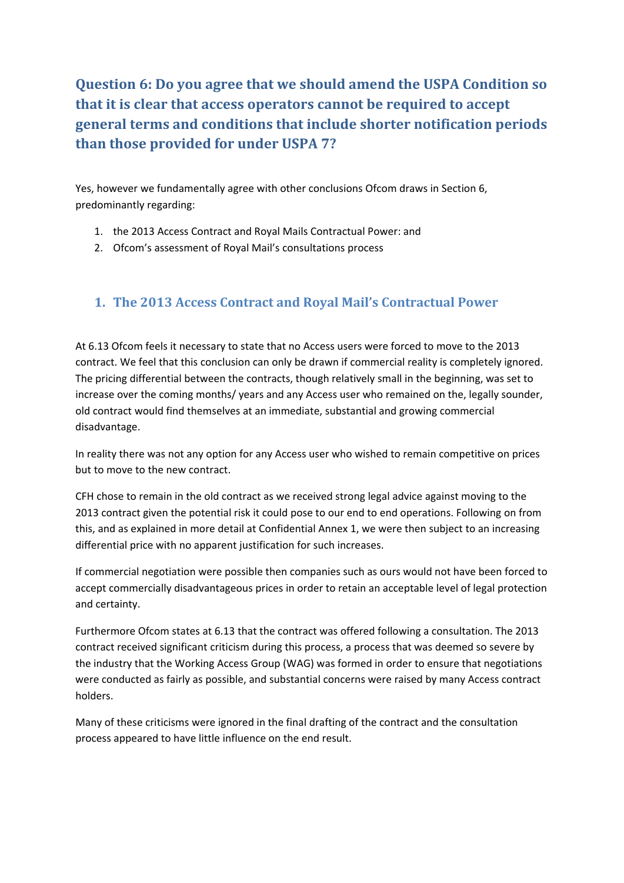## **Question 6: Do you agree that we should amend the USPA Condition so that it is clear that access operators cannot be required to accept general terms and conditions that include shorter notification periods than those provided for under USPA 7?**

Yes, however we fundamentally agree with other conclusions Ofcom draws in Section 6, predominantly regarding:

- 1. the 2013 Access Contract and Royal Mails Contractual Power: and
- 2. Ofcom's assessment of Royal Mail's consultations process

### **1. The 2013 Access Contract and Royal Mail's Contractual Power**

At 6.13 Ofcom feels it necessary to state that no Access users were forced to move to the 2013 contract. We feel that this conclusion can only be drawn if commercial reality is completely ignored. The pricing differential between the contracts, though relatively small in the beginning, was set to increase over the coming months/ years and any Access user who remained on the, legally sounder, old contract would find themselves at an immediate, substantial and growing commercial disadvantage.

In reality there was not any option for any Access user who wished to remain competitive on prices but to move to the new contract.

CFH chose to remain in the old contract as we received strong legal advice against moving to the 2013 contract given the potential risk it could pose to our end to end operations. Following on from this, and as explained in more detail at Confidential Annex 1, we were then subject to an increasing differential price with no apparent justification for such increases.

If commercial negotiation were possible then companies such as ours would not have been forced to accept commercially disadvantageous prices in order to retain an acceptable level of legal protection and certainty.

Furthermore Ofcom states at 6.13 that the contract was offered following a consultation. The 2013 contract received significant criticism during this process, a process that was deemed so severe by the industry that the Working Access Group (WAG) was formed in order to ensure that negotiations were conducted as fairly as possible, and substantial concerns were raised by many Access contract holders.

Many of these criticisms were ignored in the final drafting of the contract and the consultation process appeared to have little influence on the end result.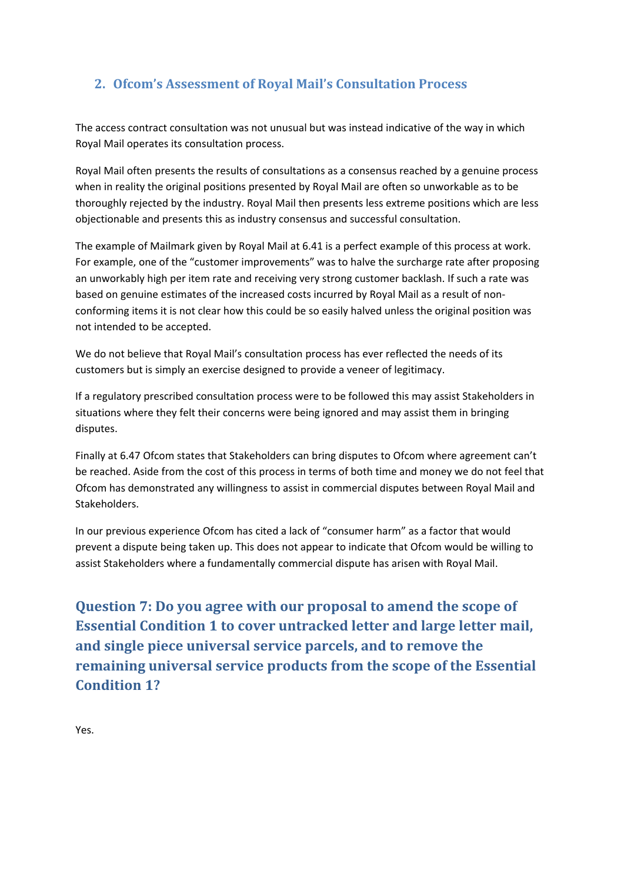## **2. Ofcom's Assessment of Royal Mail's Consultation Process**

The access contract consultation was not unusual but was instead indicative of the way in which Royal Mail operates its consultation process.

Royal Mail often presents the results of consultations as a consensus reached by a genuine process when in reality the original positions presented by Royal Mail are often so unworkable as to be thoroughly rejected by the industry. Royal Mail then presents less extreme positions which are less objectionable and presents this as industry consensus and successful consultation.

The example of Mailmark given by Royal Mail at 6.41 is a perfect example of this process at work. For example, one of the "customer improvements" was to halve the surcharge rate after proposing an unworkably high per item rate and receiving very strong customer backlash. If such a rate was based on genuine estimates of the increased costs incurred by Royal Mail as a result of non‐ conforming items it is not clear how this could be so easily halved unless the original position was not intended to be accepted.

We do not believe that Royal Mail's consultation process has ever reflected the needs of its customers but is simply an exercise designed to provide a veneer of legitimacy.

If a regulatory prescribed consultation process were to be followed this may assist Stakeholders in situations where they felt their concerns were being ignored and may assist them in bringing disputes.

Finally at 6.47 Ofcom states that Stakeholders can bring disputes to Ofcom where agreement can't be reached. Aside from the cost of this process in terms of both time and money we do not feel that Ofcom has demonstrated any willingness to assist in commercial disputes between Royal Mail and Stakeholders.

In our previous experience Ofcom has cited a lack of "consumer harm" as a factor that would prevent a dispute being taken up. This does not appear to indicate that Ofcom would be willing to assist Stakeholders where a fundamentally commercial dispute has arisen with Royal Mail.

**Question 7: Do you agree with our proposal to amend the scope of Essential Condition 1 to cover untracked letter and large letter mail, and single piece universal service parcels, and to remove the remaining universal service products from the scope of the Essential Condition 1?**

Yes.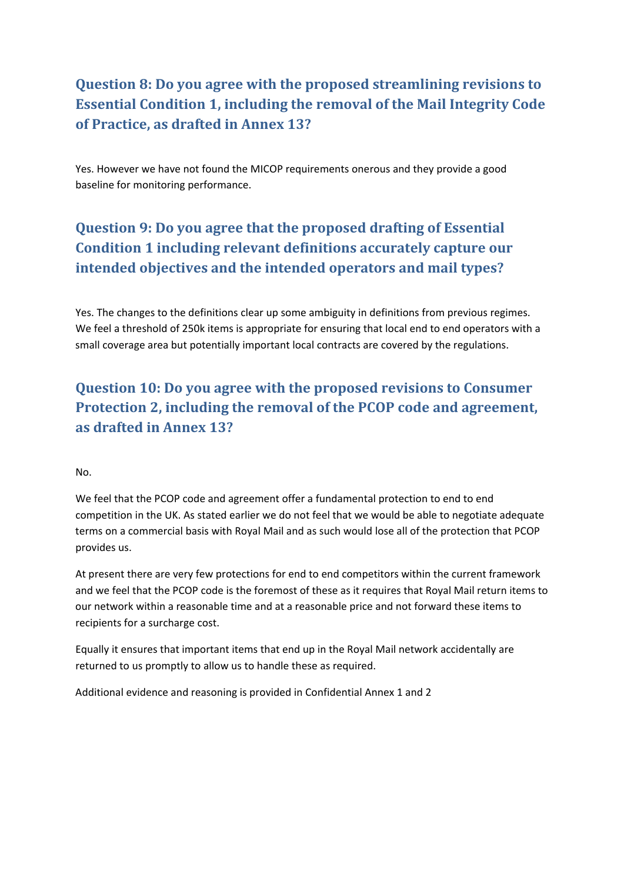## **Question 8: Do you agree with the proposed streamlining revisions to Essential Condition 1, including the removal of the Mail Integrity Code of Practice, as drafted in Annex 13?**

Yes. However we have not found the MICOP requirements onerous and they provide a good baseline for monitoring performance.

# **Question 9: Do you agree that the proposed drafting of Essential Condition 1 including relevant definitions accurately capture our intended objectives and the intended operators and mail types?**

Yes. The changes to the definitions clear up some ambiguity in definitions from previous regimes. We feel a threshold of 250k items is appropriate for ensuring that local end to end operators with a small coverage area but potentially important local contracts are covered by the regulations.

**Question 10: Do you agree with the proposed revisions to Consumer Protection 2, including the removal of the PCOP code and agreement, as drafted in Annex 13?**

#### No.

We feel that the PCOP code and agreement offer a fundamental protection to end to end competition in the UK. As stated earlier we do not feel that we would be able to negotiate adequate terms on a commercial basis with Royal Mail and as such would lose all of the protection that PCOP provides us.

At present there are very few protections for end to end competitors within the current framework and we feel that the PCOP code is the foremost of these as it requires that Royal Mail return items to our network within a reasonable time and at a reasonable price and not forward these items to recipients for a surcharge cost.

Equally it ensures that important items that end up in the Royal Mail network accidentally are returned to us promptly to allow us to handle these as required.

Additional evidence and reasoning is provided in Confidential Annex 1 and 2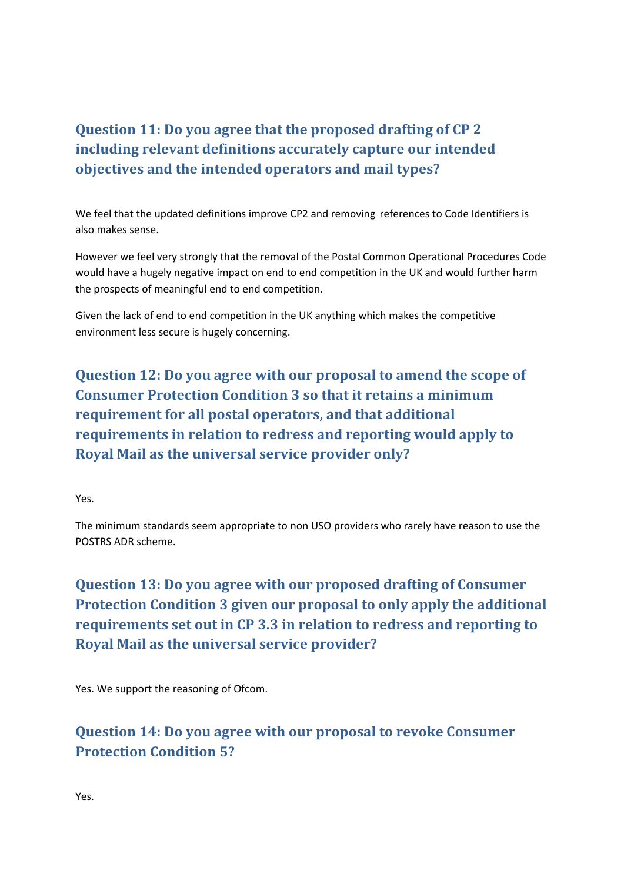## **Question 11: Do you agree that the proposed drafting of CP 2 including relevant definitions accurately capture our intended objectives and the intended operators and mail types?**

We feel that the updated definitions improve CP2 and removing references to Code Identifiers is also makes sense.

However we feel very strongly that the removal of the Postal Common Operational Procedures Code would have a hugely negative impact on end to end competition in the UK and would further harm the prospects of meaningful end to end competition.

Given the lack of end to end competition in the UK anything which makes the competitive environment less secure is hugely concerning.

**Question 12: Do you agree with our proposal to amend the scope of Consumer Protection Condition 3 so that it retains a minimum requirement for all postal operators, and that additional requirements in relation to redress and reporting would apply to Royal Mail as the universal service provider only?**

Yes.

The minimum standards seem appropriate to non USO providers who rarely have reason to use the POSTRS ADR scheme.

**Question 13: Do you agree with our proposed drafting of Consumer Protection Condition 3 given our proposal to only apply the additional requirements set out in CP 3.3 in relation to redress and reporting to Royal Mail as the universal service provider?**

Yes. We support the reasoning of Ofcom.

## **Question 14: Do you agree with our proposal to revoke Consumer Protection Condition 5?**